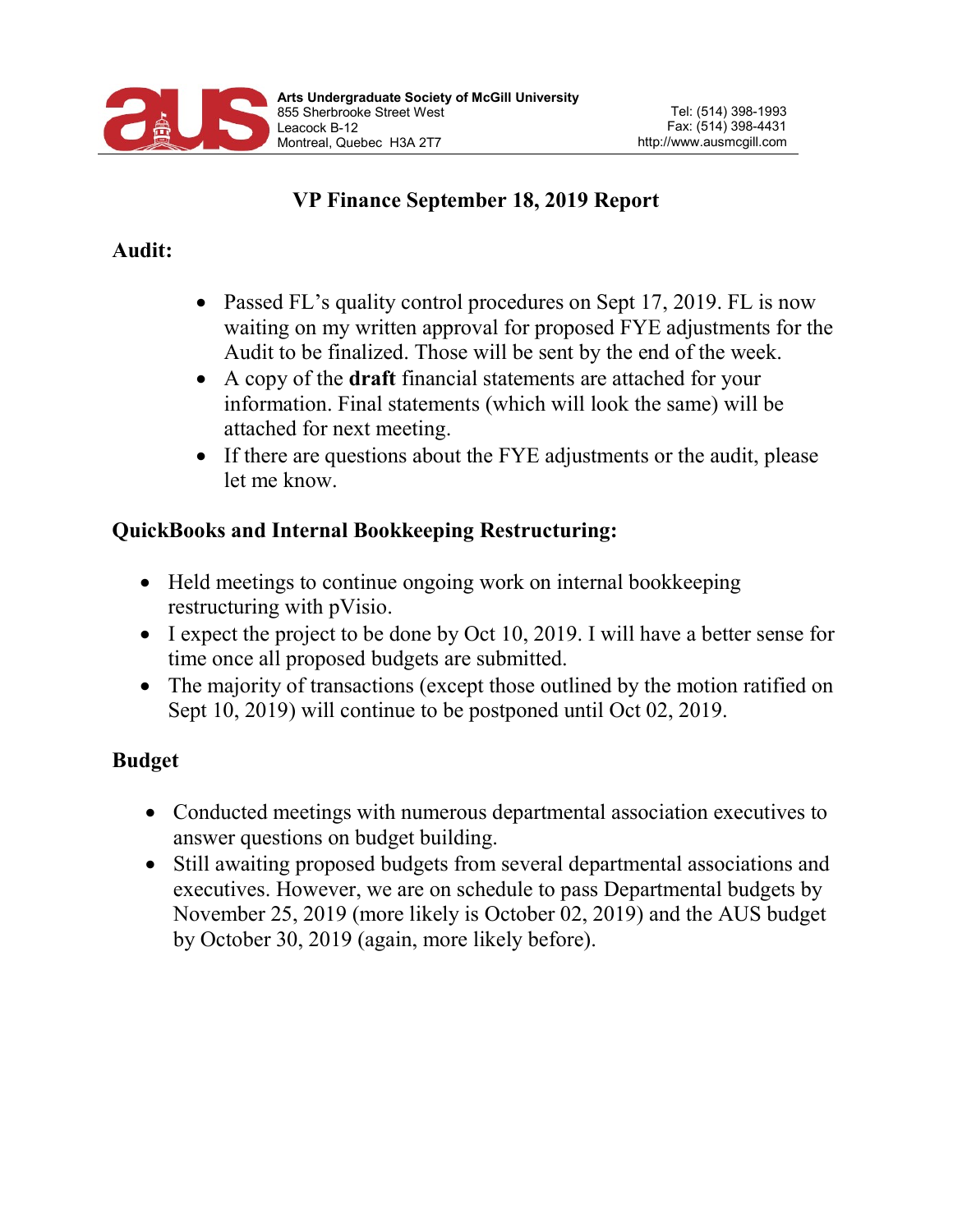

## VP Finance September 18, 2019 Report

#### Audit:

- Passed FL's quality control procedures on Sept 17, 2019. FL is now waiting on my written approval for proposed FYE adjustments for the Audit to be finalized. Those will be sent by the end of the week.
- A copy of the **draft** financial statements are attached for your information. Final statements (which will look the same) will be attached for next meeting.
- If there are questions about the FYE adjustments or the audit, please let me know.

### QuickBooks and Internal Bookkeeping Restructuring:

- Held meetings to continue ongoing work on internal bookkeeping restructuring with pVisio.
- I expect the project to be done by Oct 10, 2019. I will have a better sense for time once all proposed budgets are submitted.
- The majority of transactions (except those outlined by the motion ratified on Sept 10, 2019) will continue to be postponed until Oct 02, 2019.

## Budget

- Conducted meetings with numerous departmental association executives to answer questions on budget building.
- Still awaiting proposed budgets from several departmental associations and executives. However, we are on schedule to pass Departmental budgets by November 25, 2019 (more likely is October 02, 2019) and the AUS budget by October 30, 2019 (again, more likely before).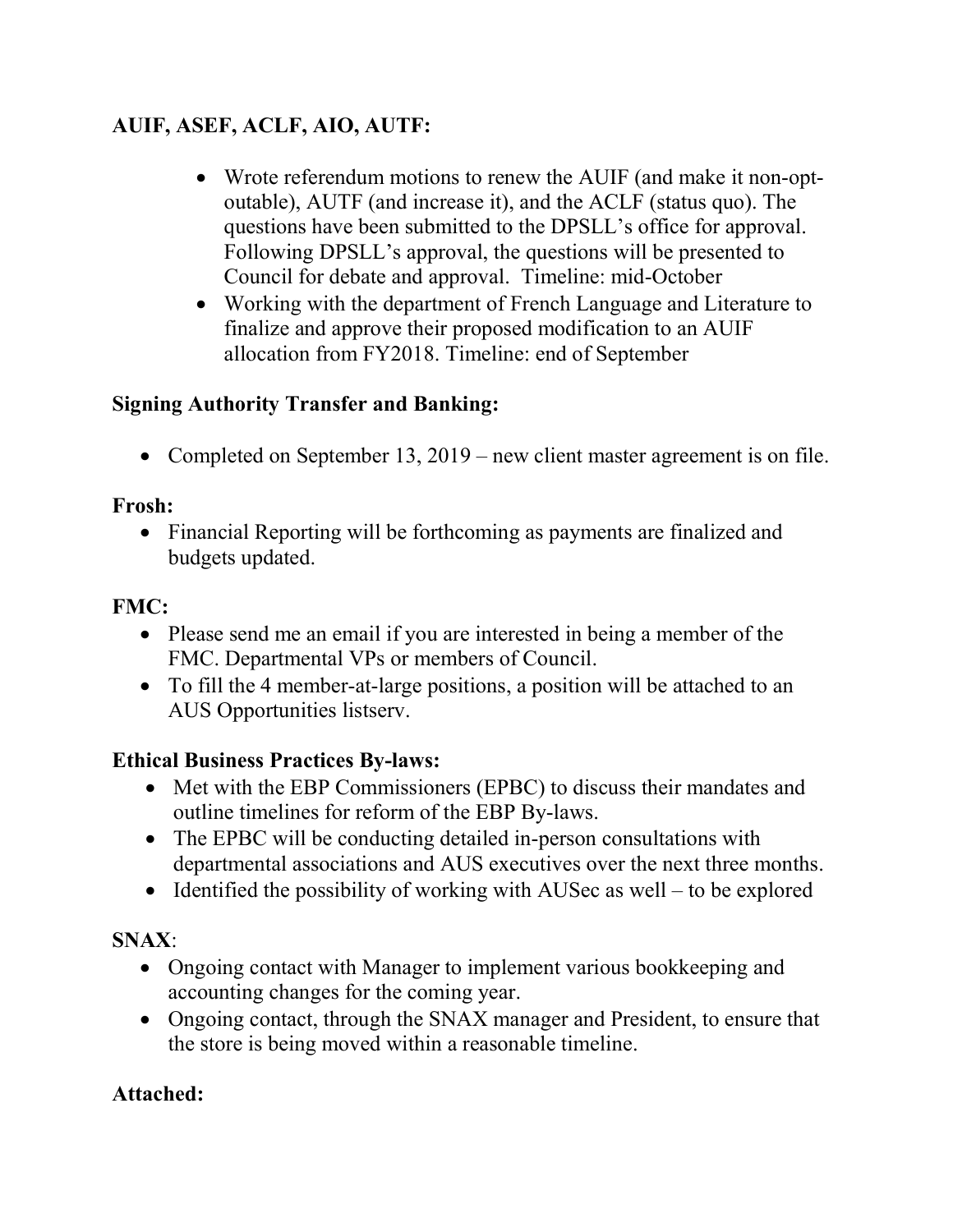# AUIF, ASEF, ACLF, AIO, AUTF:

- Wrote referendum motions to renew the AUIF (and make it non-optoutable), AUTF (and increase it), and the ACLF (status quo). The questions have been submitted to the DPSLL's office for approval. Following DPSLL's approval, the questions will be presented to Council for debate and approval. Timeline: mid-October
- Working with the department of French Language and Literature to finalize and approve their proposed modification to an AUIF allocation from FY2018. Timeline: end of September

## Signing Authority Transfer and Banking:

• Completed on September 13, 2019 – new client master agreement is on file.

### Frosh:

• Financial Reporting will be forthcoming as payments are finalized and budgets updated.

### FMC:

- Please send me an email if you are interested in being a member of the FMC. Departmental VPs or members of Council.
- To fill the 4 member-at-large positions, a position will be attached to an AUS Opportunities listserv.

### Ethical Business Practices By-laws:

- Met with the EBP Commissioners (EPBC) to discuss their mandates and outline timelines for reform of the EBP By-laws.
- The EPBC will be conducting detailed in-person consultations with departmental associations and AUS executives over the next three months.
- $\bullet$  Identified the possibility of working with AUSec as well to be explored

### SNAX:

- Ongoing contact with Manager to implement various bookkeeping and accounting changes for the coming year.
- Ongoing contact, through the SNAX manager and President, to ensure that the store is being moved within a reasonable timeline.

### Attached: